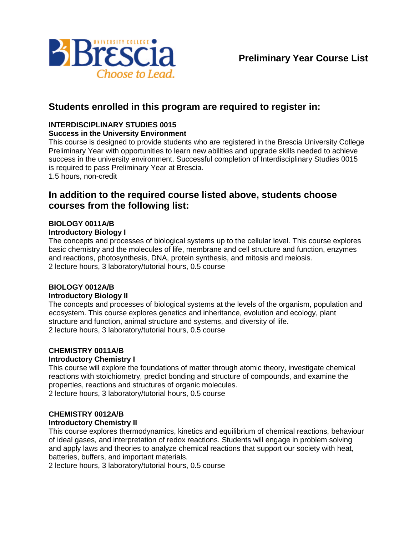

## **Students enrolled in this program are required to register in:**

#### **INTERDISCIPLINARY STUDIES 0015**

#### **Success in the University Environment**

This course is designed to provide students who are registered in the Brescia University College Preliminary Year with opportunities to learn new abilities and upgrade skills needed to achieve success in the university environment. Successful completion of Interdisciplinary Studies 0015 is required to pass Preliminary Year at Brescia.

1.5 hours, non-credit

### **In addition to the required course listed above, students choose courses from the following list:**

#### **BIOLOGY 0011A/B**

#### **Introductory Biology I**

The concepts and processes of biological systems up to the cellular level. This course explores basic chemistry and the molecules of life, membrane and cell structure and function, enzymes and reactions, photosynthesis, DNA, protein synthesis, and mitosis and meiosis. 2 lecture hours, 3 laboratory/tutorial hours, 0.5 course

#### **BIOLOGY 0012A/B**

#### **Introductory Biology II**

The concepts and processes of biological systems at the levels of the organism, population and ecosystem. This course explores genetics and inheritance, evolution and ecology, plant structure and function, animal structure and systems, and diversity of life. 2 lecture hours, 3 laboratory/tutorial hours, 0.5 course

#### **CHEMISTRY 0011A/B**

#### **Introductory Chemistry I**

This course will explore the foundations of matter through atomic theory, investigate chemical reactions with stoichiometry, predict bonding and structure of compounds, and examine the properties, reactions and structures of organic molecules. 2 lecture hours, 3 laboratory/tutorial hours, 0.5 course

# **CHEMISTRY 0012A/B**

# **Introductory Chemistry II**

This course explores thermodynamics, kinetics and equilibrium of chemical reactions, behaviour of ideal gases, and interpretation of redox reactions. Students will engage in problem solving and apply laws and theories to analyze chemical reactions that support our society with heat, batteries, buffers, and important materials.

2 lecture hours, 3 laboratory/tutorial hours, 0.5 course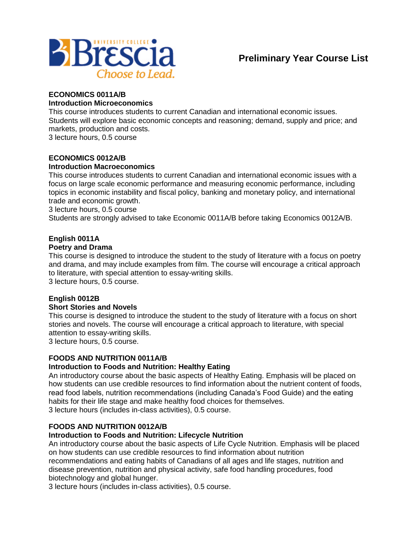

#### **ECONOMICS 0011A/B**

#### **Introduction Microeconomics**

This course introduces students to current Canadian and international economic issues. Students will explore basic economic concepts and reasoning; demand, supply and price; and markets, production and costs.

3 lecture hours, 0.5 course

### **ECONOMICS 0012A/B**

#### **Introduction Macroeconomics**

This course introduces students to current Canadian and international economic issues with a focus on large scale economic performance and measuring economic performance, including topics in economic instability and fiscal policy, banking and monetary policy, and international trade and economic growth.

3 lecture hours, 0.5 course

Students are strongly advised to take Economic 0011A/B before taking Economics 0012A/B.

#### **English 0011A**

#### **Poetry and Drama**

This course is designed to introduce the student to the study of literature with a focus on poetry and drama, and may include examples from film. The course will encourage a critical approach to literature, with special attention to essay-writing skills.

3 lecture hours, 0.5 course.

# **English 0012B**

#### **Short Stories and Novels**

This course is designed to introduce the student to the study of literature with a focus on short stories and novels. The course will encourage a critical approach to literature, with special attention to essay-writing skills.

3 lecture hours, 0.5 course.

#### **FOODS AND NUTRITION 0011A/B**

#### **Introduction to Foods and Nutrition: Healthy Eating**

An introductory course about the basic aspects of Healthy Eating. Emphasis will be placed on how students can use credible resources to find information about the nutrient content of foods, read food labels, nutrition recommendations (including Canada's Food Guide) and the eating habits for their life stage and make healthy food choices for themselves. 3 lecture hours (includes in-class activities), 0.5 course.

#### **FOODS AND NUTRITION 0012A/B**

#### **Introduction to Foods and Nutrition: Lifecycle Nutrition**

An introductory course about the basic aspects of Life Cycle Nutrition. Emphasis will be placed on how students can use credible resources to find information about nutrition recommendations and eating habits of Canadians of all ages and life stages, nutrition and disease prevention, nutrition and physical activity, safe food handling procedures, food biotechnology and global hunger.

3 lecture hours (includes in-class activities), 0.5 course.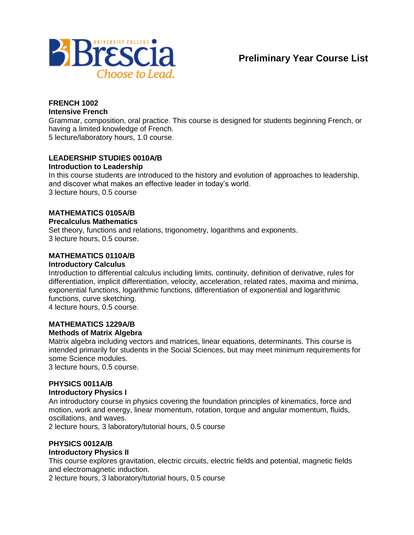

#### **FRENCH 1002 Intensive French**

Grammar, composition, oral practice. This course is designed for students beginning French, or having a limited knowledge of French.

5 lecture/laboratory hours, 1.0 course.

#### **LEADERSHIP STUDIES 0010A/B Introduction to Leadership**

In this course students are introduced to the history and evolution of approaches to leadership, and discover what makes an effective leader in today's world. 3 lecture hours, 0.5 course

#### **MATHEMATICS 0105A/B**

#### **Precalculus Mathematics**

Set theory, functions and relations, trigonometry, logarithms and exponents. 3 lecture hours, 0.5 course.

#### **MATHEMATICS 0110A/B**

#### **Introductory Calculus**

Introduction to differential calculus including limits, continuity, definition of derivative, rules for differentiation, implicit differentiation, velocity, acceleration, related rates, maxima and minima, exponential functions, logarithmic functions, differentiation of exponential and logarithmic functions, curve sketching.

4 lecture hours, 0.5 course.

#### **MATHEMATICS 1229A/B Methods of Matrix Algebra**

Matrix algebra including vectors and matrices, linear equations, determinants. This course is intended primarily for students in the Social Sciences, but may meet minimum requirements for some Science modules.

3 lecture hours, 0.5 course.

#### **PHYSICS 0011A/B**

#### **Introductory Physics I**

An introductory course in physics covering the foundation principles of kinematics, force and motion, work and energy, linear momentum, rotation, torque and angular momentum, fluids, oscillations, and waves.

2 lecture hours, 3 laboratory/tutorial hours, 0.5 course

#### **PHYSICS 0012A/B**

#### **Introductory Physics II**

This course explores gravitation, electric circuits, electric fields and potential, magnetic fields and electromagnetic induction.

2 lecture hours, 3 laboratory/tutorial hours, 0.5 course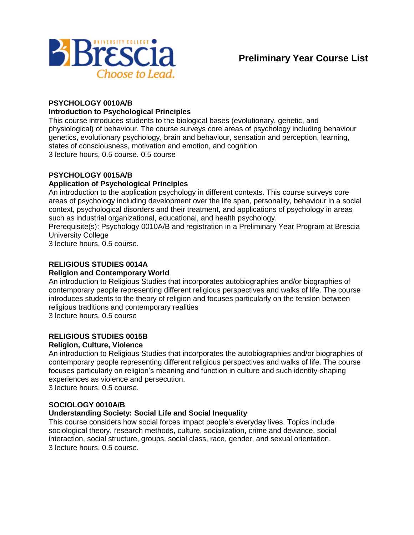

# **PSYCHOLOGY 0010A/B**

## **Introduction to Psychological Principles**

This course introduces students to the biological bases (evolutionary, genetic, and physiological) of behaviour. The course surveys core areas of psychology including behaviour genetics, evolutionary psychology, brain and behaviour, sensation and perception, learning, states of consciousness, motivation and emotion, and cognition. 3 lecture hours, 0.5 course. 0.5 course

#### **PSYCHOLOGY 0015A/B**

#### **Application of Psychological Principles**

An introduction to the application psychology in different contexts. This course surveys core areas of psychology including development over the life span, personality, behaviour in a social context, psychological disorders and their treatment, and applications of psychology in areas such as industrial organizational, educational, and health psychology.

Prerequisite(s): Psychology 0010A/B and registration in a Preliminary Year Program at Brescia University College

3 lecture hours, 0.5 course.

#### **RELIGIOUS STUDIES 0014A**

#### **Religion and Contemporary World**

An introduction to Religious Studies that incorporates autobiographies and/or biographies of contemporary people representing different religious perspectives and walks of life. The course introduces students to the theory of religion and focuses particularly on the tension between religious traditions and contemporary realities

3 lecture hours, 0.5 course

#### **RELIGIOUS STUDIES 0015B**

#### **Religion, Culture, Violence**

An introduction to Religious Studies that incorporates the autobiographies and/or biographies of contemporary people representing different religious perspectives and walks of life. The course focuses particularly on religion's meaning and function in culture and such identity-shaping experiences as violence and persecution. 3 lecture hours, 0.5 course.

#### **SOCIOLOGY 0010A/B**

#### **Understanding Society: Social Life and Social Inequality**

This course considers how social forces impact people's everyday lives. Topics include sociological theory, research methods, culture, socialization, crime and deviance, social interaction, social structure, groups, social class, race, gender, and sexual orientation. 3 lecture hours, 0.5 course.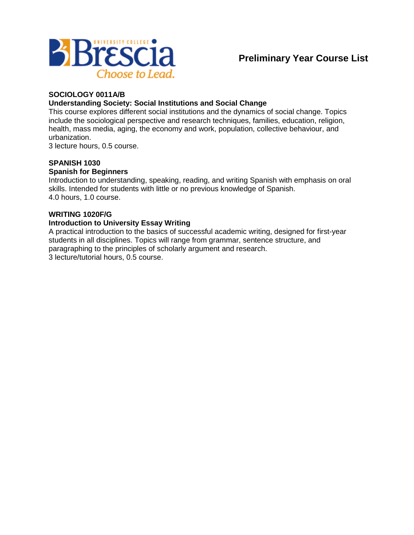

#### **SOCIOLOGY 0011A/B**

#### **Understanding Society: Social Institutions and Social Change**

This course explores different social institutions and the dynamics of social change. Topics include the sociological perspective and research techniques, families, education, religion, health, mass media, aging, the economy and work, population, collective behaviour, and urbanization.

3 lecture hours, 0.5 course.

#### **SPANISH 1030**

#### **Spanish for Beginners**

Introduction to understanding, speaking, reading, and writing Spanish with emphasis on oral skills. Intended for students with little or no previous knowledge of Spanish. 4.0 hours, 1.0 course.

#### **WRITING 1020F/G**

#### **Introduction to University Essay Writing**

A practical introduction to the basics of successful academic writing, designed for first-year students in all disciplines. Topics will range from grammar, sentence structure, and paragraphing to the principles of scholarly argument and research. 3 lecture/tutorial hours, 0.5 course.